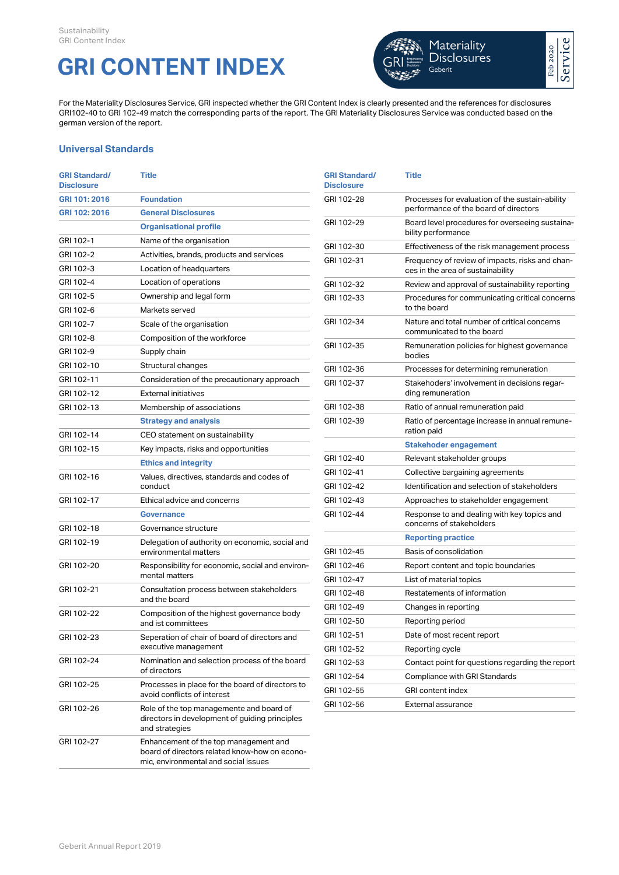## **GRI CONTENT INDEX**



For the Materiality Disclosures Service, GRI inspected whether the GRI Content Index is clearly presented and the references for disclosures GRI102-40 to GRI 102-49 match the corresponding parts of the report. The GRI Materiality Disclosures Service was conducted based on the german version of the report.

## **Universal Standards**

| <b>GRI Standard/</b><br><b>Disclosure</b> | <b>Title</b>                                                                                                                   | <b>GRI Standard/</b><br><b>Disclosure</b> | <b>Title</b>                                                                             |
|-------------------------------------------|--------------------------------------------------------------------------------------------------------------------------------|-------------------------------------------|------------------------------------------------------------------------------------------|
| GRI 101: 2016<br>GRI 102: 2016            | <b>Foundation</b><br><b>General Disclosures</b>                                                                                | GRI 102-28                                | Processes for evaluation of the sustain-ability<br>performance of the board of directors |
|                                           | <b>Organisational profile</b>                                                                                                  | GRI 102-29                                | Board level procedures for overseeing sustaina-<br>bility performance                    |
| GRI 102-1                                 | Name of the organisation                                                                                                       | GRI 102-30                                | Effectiveness of the risk management process                                             |
| GRI 102-2                                 | Activities, brands, products and services                                                                                      | GRI 102-31                                | Frequency of review of impacts, risks and chan-                                          |
| GRI 102-3                                 | Location of headquarters                                                                                                       |                                           | ces in the area of sustainability                                                        |
| GRI 102-4                                 | Location of operations                                                                                                         | GRI 102-32                                | Review and approval of sustainability reporting                                          |
| GRI 102-5                                 | Ownership and legal form                                                                                                       | GRI 102-33                                | Procedures for communicating critical concerns                                           |
| GRI 102-6                                 | Markets served                                                                                                                 |                                           | to the board                                                                             |
| GRI 102-7                                 | Scale of the organisation                                                                                                      | GRI 102-34                                | Nature and total number of critical concerns<br>communicated to the board                |
| GRI 102-8                                 | Composition of the workforce                                                                                                   | GRI 102-35                                | Remuneration policies for highest governance                                             |
| GRI 102-9                                 | Supply chain                                                                                                                   |                                           | bodies                                                                                   |
| GRI 102-10                                | Structural changes                                                                                                             | GRI 102-36                                | Processes for determining remuneration                                                   |
| GRI 102-11                                | Consideration of the precautionary approach                                                                                    | GRI 102-37                                | Stakehoders' involvement in decisions regar-                                             |
| GRI 102-12                                | External initiatives                                                                                                           |                                           | ding remuneration                                                                        |
| GRI 102-13                                | Membership of associations                                                                                                     | GRI 102-38                                | Ratio of annual remuneration paid                                                        |
|                                           | <b>Strategy and analysis</b>                                                                                                   | GRI 102-39                                | Ratio of percentage increase in annual remune-<br>ration paid                            |
| GRI 102-14                                | CEO statement on sustainability                                                                                                |                                           |                                                                                          |
| GRI 102-15                                | Key impacts, risks and opportunities                                                                                           | GRI 102-40                                | <b>Stakehoder engagement</b>                                                             |
|                                           | <b>Ethics and integrity</b>                                                                                                    | GRI 102-41                                | Relevant stakeholder groups                                                              |
| GRI 102-16                                | Values, directives, standards and codes of<br>conduct                                                                          | GRI 102-42                                | Collective bargaining agreements<br>Identification and selection of stakeholders         |
| GRI 102-17                                | Ethical advice and concerns                                                                                                    | GRI 102-43                                | Approaches to stakeholder engagement                                                     |
|                                           | <b>Governance</b>                                                                                                              | GRI 102-44                                | Response to and dealing with key topics and                                              |
| GRI 102-18                                | Governance structure                                                                                                           |                                           | concerns of stakeholders                                                                 |
| GRI 102-19                                | Delegation of authority on economic, social and                                                                                |                                           | <b>Reporting practice</b>                                                                |
|                                           | environmental matters                                                                                                          | GRI 102-45                                | Basis of consolidation                                                                   |
| GRI 102-20                                | Responsibility for economic, social and environ-                                                                               | GRI 102-46                                | Report content and topic boundaries                                                      |
|                                           | mental matters                                                                                                                 | GRI 102-47                                | List of material topics                                                                  |
| GRI 102-21                                | Consultation process between stakeholders<br>and the board                                                                     | GRI 102-48                                | Restatements of information                                                              |
| GRI 102-22                                | Composition of the highest governance body                                                                                     | GRI 102-49                                | Changes in reporting                                                                     |
|                                           | and ist committees                                                                                                             | GRI 102-50                                | Reporting period                                                                         |
| GRI 102-23                                | Seperation of chair of board of directors and                                                                                  | GRI 102-51                                | Date of most recent report                                                               |
|                                           | executive management                                                                                                           | GRI 102-52                                | Reporting cycle                                                                          |
| GRI 102-24                                | Nomination and selection process of the board                                                                                  | GRI 102-53                                | Contact point for questions regarding the report                                         |
| GRI 102-25                                | of directors                                                                                                                   | GRI 102-54                                | Compliance with GRI Standards                                                            |
|                                           | Processes in place for the board of directors to<br>avoid conflicts of interest                                                | GRI 102-55                                | <b>GRI</b> content index                                                                 |
| GRI 102-26                                | Role of the top managemente and board of<br>directors in development of guiding principles<br>and strategies                   | GRI 102-56                                | External assurance                                                                       |
| GRI 102-27                                | Enhancement of the top management and<br>board of directors related know-how on econo-<br>mic, environmental and social issues |                                           |                                                                                          |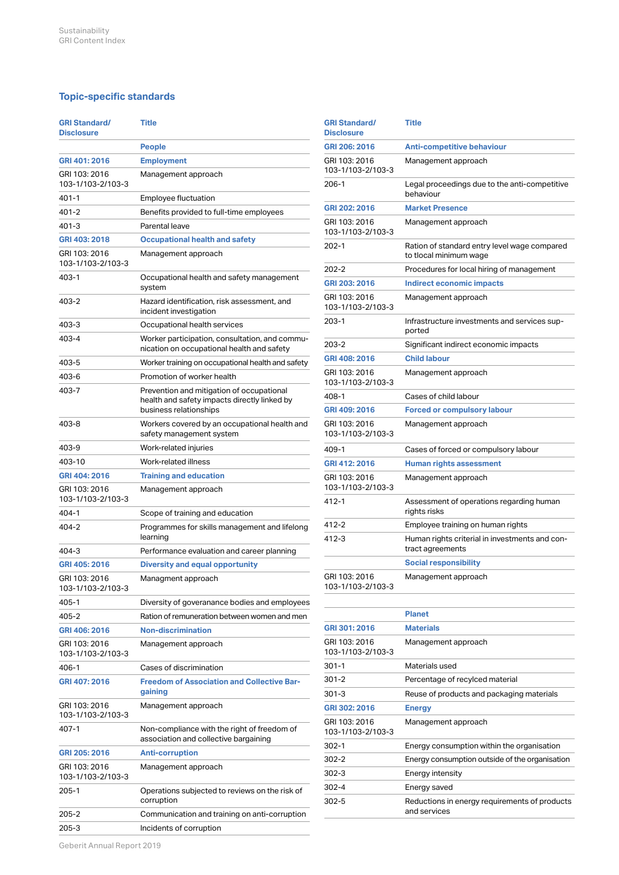## **Topic-specific standards**

| <b>GRI Standard/</b><br><b>Disclosure</b> | <b>Title</b>                                                                                                        |
|-------------------------------------------|---------------------------------------------------------------------------------------------------------------------|
|                                           | <b>People</b>                                                                                                       |
| GRI 401: 2016                             | <b>Employment</b>                                                                                                   |
| GRI 103: 2016<br>103-1/103-2/103-3        | Management approach                                                                                                 |
| 401-1                                     | Employee fluctuation                                                                                                |
| 401-2                                     | Benefits provided to full-time employees                                                                            |
| 401-3                                     | Parental leave                                                                                                      |
| GRI 403: 2018                             | <b>Occupational health and safety</b>                                                                               |
| GRI 103: 2016<br>103-1/103-2/103-3        | Management approach                                                                                                 |
| 403-1                                     | Occupational health and safety management<br>system                                                                 |
| 403-2                                     | Hazard identification, risk assessment, and<br>incident investigation                                               |
| 403-3                                     | Occupational health services                                                                                        |
| 403-4                                     | Worker participation, consultation, and commu-<br>nication on occupational health and safety                        |
| 403-5                                     | Worker training on occupational health and safety                                                                   |
| 403-6                                     | Promotion of worker health                                                                                          |
| 403-7                                     | Prevention and mitigation of occupational<br>health and safety impacts directly linked by<br>business relationships |
| 403-8                                     | Workers covered by an occupational health and<br>safety management system                                           |
| 403-9                                     | Work-related injuries                                                                                               |
| 403-10                                    | Work-related illness                                                                                                |
| GRI 404: 2016                             | <b>Training and education</b>                                                                                       |
| GRI 103: 2016<br>103-1/103-2/103-3        | Management approach                                                                                                 |
| 404-1                                     | Scope of training and education                                                                                     |
| 404-2                                     | Programmes for skills management and lifelong<br>learning                                                           |
| 404-3                                     | Performance evaluation and career planning                                                                          |
| GRI 405: 2016                             | <b>Diversity and equal opportunity</b>                                                                              |
| GRI 103: 2016<br>103-1/103-2/103-3        | Managment approach                                                                                                  |
| 405-1                                     | Diversity of goveranance bodies and employees                                                                       |
| 405-2                                     | Ration of remuneration between women and men                                                                        |
| GRI 406: 2016                             | Non-discrimination                                                                                                  |
| GRI 103: 2016<br>103-1/103-2/103-3        | Management approach                                                                                                 |
| 406-1                                     | Cases of discrimination                                                                                             |
| GRI 407: 2016                             | <b>Freedom of Association and Collective Bar-</b><br>gaining                                                        |
| GRI 103: 2016<br>103-1/103-2/103-3        | Management approach                                                                                                 |
| 407-1                                     | Non-compliance with the right of freedom of<br>association and collective bargaining                                |
| GRI 205: 2016                             | <b>Anti-corruption</b>                                                                                              |
| GRI 103: 2016<br>103-1/103-2/103-3        | Management approach                                                                                                 |
| $205 - 1$                                 | Operations subjected to reviews on the risk of<br>corruption                                                        |
| 205-2                                     | Communication and training on anti-corruption                                                                       |
| 205-3                                     | Incidents of corruption                                                                                             |

| <b>GRI Standard/</b><br><b>Disclosure</b> | Title                                                                  |
|-------------------------------------------|------------------------------------------------------------------------|
| GRI 206: 2016                             | Anti-competitive behaviour                                             |
| GRI 103: 2016<br>103-1/103-2/103-3        | Management approach                                                    |
| $206-1$                                   | Legal proceedings due to the anti-competitive<br>behaviour             |
| GRI 202: 2016                             | <b>Market Presence</b>                                                 |
| GRI 103: 2016<br>103-1/103-2/103-3        | Management approach                                                    |
| 202-1                                     | Ration of standard entry level wage compared<br>to tlocal minimum wage |
| $202 - 2$                                 | Procedures for local hiring of management                              |
| GRI 203: 2016                             | Indirect economic impacts                                              |
| GRI 103: 2016<br>103-1/103-2/103-3        | Management approach                                                    |
| $203 - 1$                                 | Infrastructure investments and services sup-<br>ported                 |
| $203 - 2$                                 | Significant indirect economic impacts                                  |
| GRI 408: 2016                             | <b>Child labour</b>                                                    |
| GRI 103: 2016<br>103-1/103-2/103-3        | Management approach                                                    |
| 408-1                                     | Cases of child labour                                                  |
| GRI 409: 2016                             | <b>Forced or compulsory labour</b>                                     |
| GRI 103: 2016<br>103-1/103-2/103-3        | Management approach                                                    |
| 409-1                                     | Cases of forced or compulsory labour                                   |
| GRI 412: 2016                             | <b>Human rights assessment</b>                                         |
| GRI 103: 2016<br>103-1/103-2/103-3        | Management approach                                                    |
| 412-1                                     | Assessment of operations regarding human<br>rights risks               |
| $412 - 2$                                 | Employee training on human rights                                      |
| $412 - 3$                                 | Human rights criterial in investments and con-<br>tract agreements     |
|                                           | <b>Social responsibility</b>                                           |
| GRI 103: 2016                             | Management approach                                                    |

|                                    | <b>Planet</b>                                                 |
|------------------------------------|---------------------------------------------------------------|
| GRI 301: 2016                      | <b>Materials</b>                                              |
| GRI 103: 2016<br>103-1/103-2/103-3 | Management approach                                           |
| $301 - 1$                          | Materials used                                                |
| $301 - 2$                          | Percentage of recylced material                               |
| $301 - 3$                          | Reuse of products and packaging materials                     |
| GRI 302: 2016                      | <b>Energy</b>                                                 |
| GRI 103: 2016<br>103-1/103-2/103-3 | Management approach                                           |
| $302-1$                            | Energy consumption within the organisation                    |
| $302-2$                            | Energy consumption outside of the organisation                |
| $302-3$                            | Energy intensity                                              |
| $302 - 4$                          | Energy saved                                                  |
| $302 - 5$                          | Reductions in energy requirements of products<br>and services |
|                                    |                                                               |

103-1/103-2/103-3

Geberit Annual Report 2019